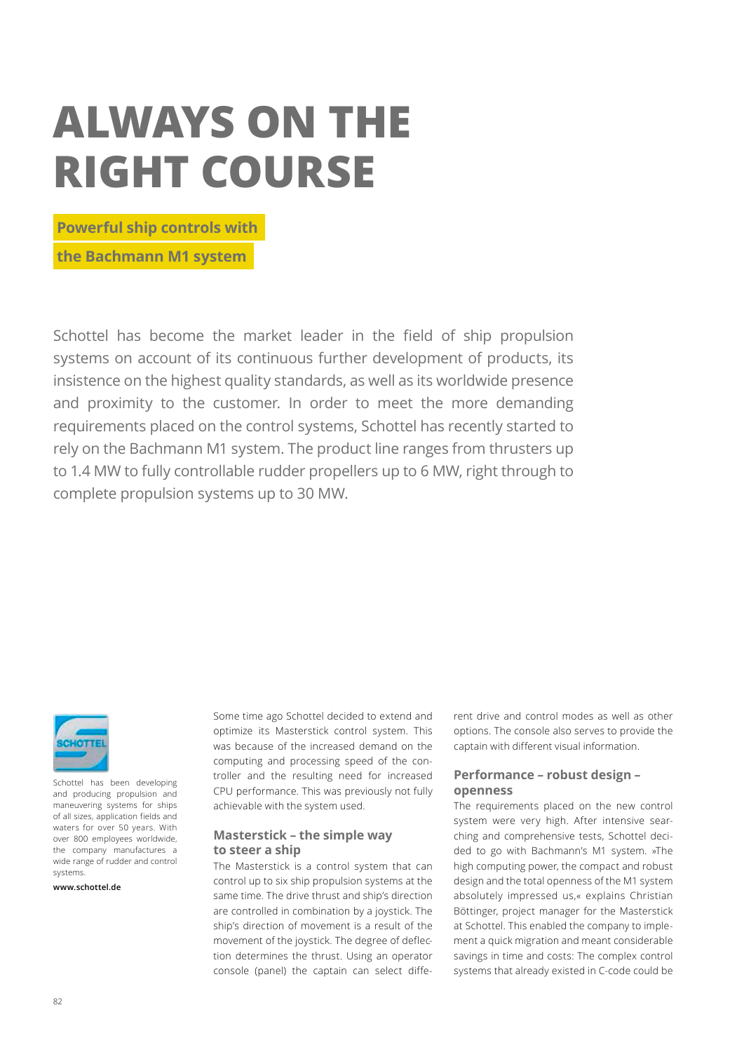# **ALWAYS ON THE RIGHT COURSE**

 **Powerful ship controls with** 

 **the Bachmann M1 system**

Schottel has become the market leader in the field of ship propulsion systems on account of its continuous further development of products, its insistence on the highest quality standards, as well as its worldwide presence and proximity to the customer. In order to meet the more demanding requirements placed on the control systems, Schottel has recently started to rely on the Bachmann M1 system. The product line ranges from thrusters up to 1.4 MW to fully controllable rudder propellers up to 6 MW, right through to complete propulsion systems up to 30 MW.



Schottel has been developing and producing propulsion and maneuvering systems for ships of all sizes, application fields and waters for over 50 years. With over 800 employees worldwide, the company manufactures a wide range of rudder and control systems.

**www.schottel.de**

Some time ago Schottel decided to extend and optimize its Masterstick control system. This was because of the increased demand on the computing and processing speed of the controller and the resulting need for increased CPU performance. This was previously not fully achievable with the system used.

#### **Masterstick – the simple way to steer a ship**

The Masterstick is a control system that can control up to six ship propulsion systems at the same time. The drive thrust and ship's direction are controlled in combination by a joystick. The ship's direction of movement is a result of the movement of the joystick. The degree of deflection determines the thrust. Using an operator console (panel) the captain can select different drive and control modes as well as other options. The console also serves to provide the captain with different visual information.

## **Performance – robust design – openness**

The requirements placed on the new control system were very high. After intensive searching and comprehensive tests, Schottel decided to go with Bachmann's M1 system. »The high computing power, the compact and robust design and the total openness of the M1 system absolutely impressed us,« explains Christian Böttinger, project manager for the Masterstick at Schottel. This enabled the company to implement a quick migration and meant considerable savings in time and costs: The complex control systems that already existed in C-code could be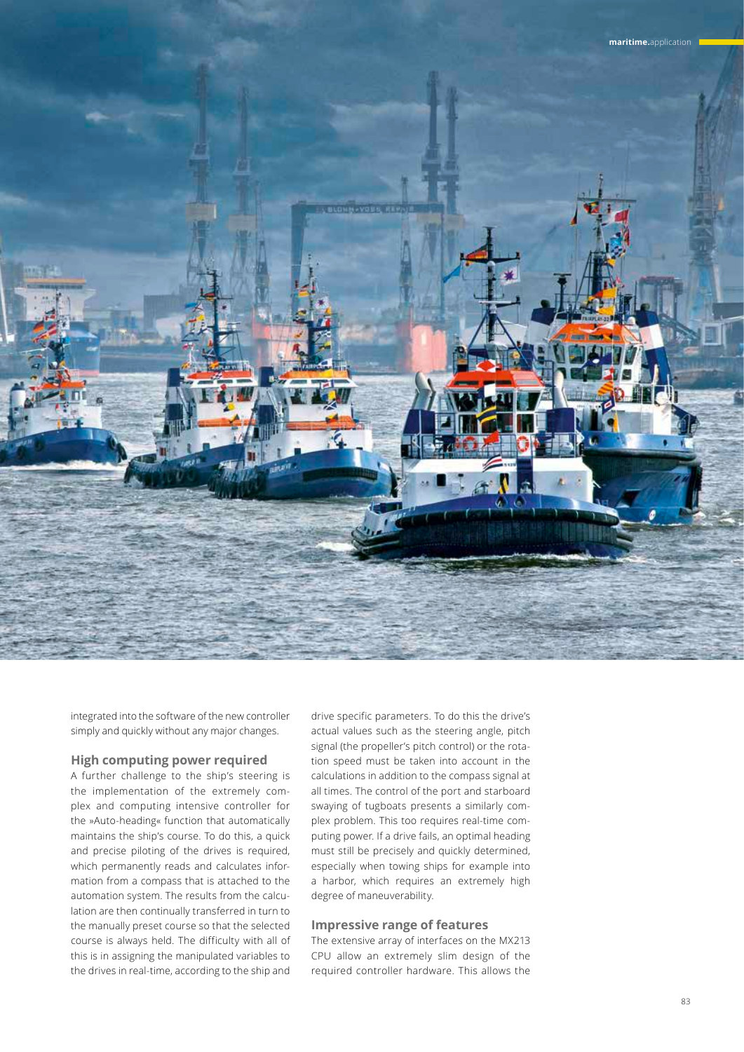

integrated into the software of the new controller simply and quickly without any major changes.

## **High computing power required**

A further challenge to the ship's steering is the implementation of the extremely complex and computing intensive controller for the »Auto-heading« function that automatically maintains the ship's course. To do this, a quick and precise piloting of the drives is required, which permanently reads and calculates information from a compass that is attached to the automation system. The results from the calculation are then continually transferred in turn to the manually preset course so that the selected course is always held. The difficulty with all of this is in assigning the manipulated variables to the drives in real-time, according to the ship and

drive specific parameters. To do this the drive's actual values such as the steering angle, pitch signal (the propeller's pitch control) or the rotation speed must be taken into account in the calculations in addition to the compass signal at all times. The control of the port and starboard swaying of tugboats presents a similarly complex problem. This too requires real-time computing power. If a drive fails, an optimal heading must still be precisely and quickly determined, especially when towing ships for example into a harbor, which requires an extremely high degree of maneuverability.

#### **Impressive range of features**

The extensive array of interfaces on the MX213 CPU allow an extremely slim design of the required controller hardware. This allows the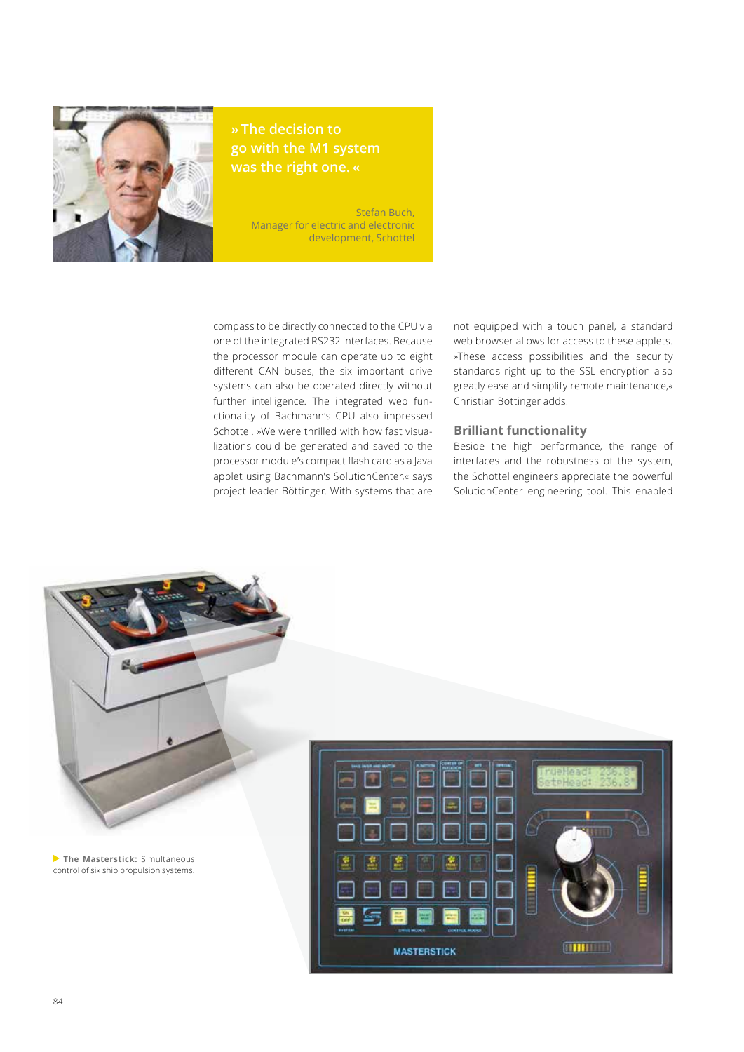

# **» The decision to go with the M1 system was the right one. «**

Stefan Buch, Manager for electric and electronic development, Schottel

compass to be directly connected to the CPU via one of the integrated RS232 interfaces. Because the processor module can operate up to eight different CAN buses, the six important drive systems can also be operated directly without further intelligence. The integrated web functionality of Bachmann's CPU also impressed Schottel. »We were thrilled with how fast visualizations could be generated and saved to the processor module's compact flash card as a Java applet using Bachmann's SolutionCenter,« says project leader Böttinger. With systems that are

not equipped with a touch panel, a standard web browser allows for access to these applets. »These access possibilities and the security standards right up to the SSL encryption also greatly ease and simplify remote maintenance,« Christian Böttinger adds.

#### **Brilliant functionality**

Beside the high performance, the range of interfaces and the robustness of the system, the Schottel engineers appreciate the powerful SolutionCenter engineering tool. This enabled



**The Masterstick:** Simultaneous control of six ship propulsion systems.